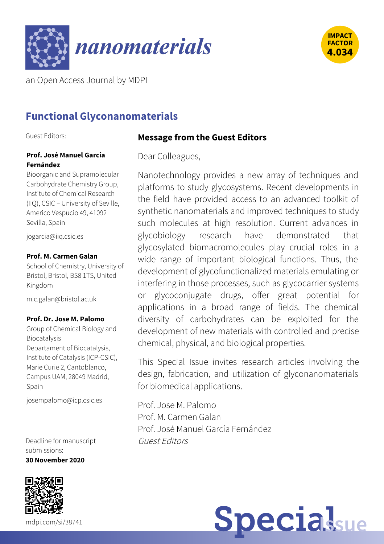



an Open Access Journal by MDPI

# **Functional Glyconanomaterials**

Guest Editors:

#### **Prof. José Manuel García Fernández**

Bioorganic and Supramolecular Carbohydrate Chemistry Group, Institute of Chemical Research (IIQ), CSIC – University of Seville, Americo Vespucio 49, 41092 Sevilla, Spain

[jogarcia@iiq.csic.es](mailto:%256a%256f%2567%2561%2572%2563%2569%2561@%2569%2569%2571.%2563%2573%2569%2563.%2565%2573)

#### **Prof. M. Carmen Galan**

School of Chemistry, University of Bristol, Bristol, BS8 1TS, United Kingdom

[m.c.galan@bristol.ac.uk](mailto:%256d.%2563.%2567%2561%256c%2561%256e@%2562%2572%2569%2573%2574%256f%256c.%2561%2563.%2575%256b)

#### **Prof. Dr. Jose M. Palomo**

Group of Chemical Biology and Biocatalysis Departament of Biocatalysis, Institute of Catalysis (ICP-CSIC), Marie Curie 2, Cantoblanco, Campus UAM, 28049 Madrid, Spain

[josempalomo@icp.csic.es](mailto:%256a%256f%2573%2565%256d%2570%2561%256c%256f%256d%256f@%2569%2563%2570.%2563%2573%2569%2563.%2565%2573)

Deadline for manuscript submissions: **30 November 2020**



#### **Message from the Guest Editors**

Dear Colleagues,

Nanotechnology provides a new array of techniques and platforms to study glycosystems. Recent developments in the field have provided access to an advanced toolkit of synthetic nanomaterials and improved techniques to study such molecules at high resolution. Current advances in glycobiology research have demonstrated that glycosylated biomacromolecules play crucial roles in a wide range of important biological functions. Thus, the development of glycofunctionalized materials emulating or interfering in those processes, such as glycocarrier systems or glycoconjugate drugs, offer great potential for applications in a broad range of fields. The chemical diversity of carbohydrates can be exploited for the development of new materials with controlled and precise chemical, physical, and biological properties.

This Special Issue invites research articles involving the design, fabrication, and utilization of glyconanomaterials for biomedical applications.

Prof. Jose M. Palomo Prof. M. Carmen Galan Prof. José Manuel García Fernández Guest Editors